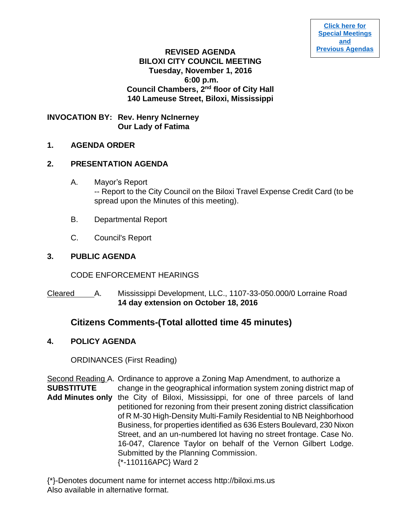#### **REVISED AGENDA BILOXI CITY COUNCIL MEETING Tuesday, November 1, 2016 6:00 p.m. Council Chambers, 2nd floor of City Hall 140 Lameuse Street, Biloxi, Mississippi**

## **INVOCATION BY: Rev. Henry NcInerney Our Lady of Fatima**

#### **1. AGENDA ORDER**

#### **2. PRESENTATION AGENDA**

- A. Mayor's Report -- Report to the City Council on the Biloxi Travel Expense Credit Card (to be spread upon the Minutes of this meeting).
- B. Departmental Report
- C. Council's Report

## **3. PUBLIC AGENDA**

CODE ENFORCEMENT HEARINGS

Cleared A. Mississippi Development, LLC., 1107-33-050.000/0 Lorraine Road **14 day extension on October 18, 2016**

# **Citizens Comments-(Total allotted time 45 minutes)**

## **4. POLICY AGENDA**

ORDINANCES (First Reading)

Second Reading A. Ordinance to approve a Zoning Map Amendment, to authorize a **SUBSTITUTE** change in the geographical information system zoning district map of **Add Minutes only** the City of Biloxi, Mississippi, for one of three parcels of land petitioned for rezoning from their present zoning district classification of R M-30 High-Density Multi-Family Residential to NB Neighborhood Business, for properties identified as 636 Esters Boulevard, 230 Nixon Street, and an un-numbered lot having no street frontage. Case No. 16-047, Clarence Taylor on behalf of the Vernon Gilbert Lodge. Submitted by the Planning Commission. {\*-110116APC} Ward 2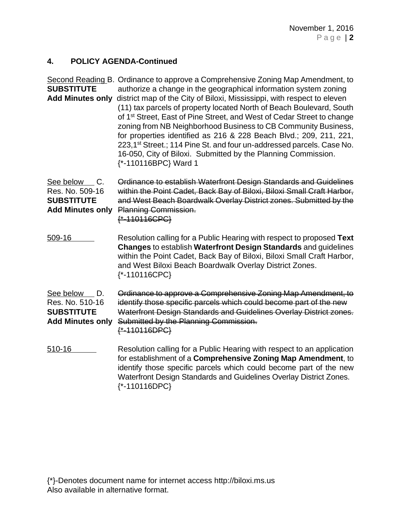## **4. POLICY AGENDA-Continued**

| <b>SUBSTITUTE</b><br><b>Add Minutes only</b>                                       | Second Reading B. Ordinance to approve a Comprehensive Zoning Map Amendment, to<br>authorize a change in the geographical information system zoning<br>district map of the City of Biloxi, Mississippi, with respect to eleven<br>(11) tax parcels of property located North of Beach Boulevard, South<br>of 1 <sup>st</sup> Street, East of Pine Street, and West of Cedar Street to change<br>zoning from NB Neighborhood Business to CB Community Business,<br>for properties identified as 216 & 228 Beach Blvd.; 209, 211, 221,<br>223,1 <sup>st</sup> Street.; 114 Pine St. and four un-addressed parcels. Case No.<br>16-050, City of Biloxi. Submitted by the Planning Commission.<br>{*-110116BPC} Ward 1 |  |
|------------------------------------------------------------------------------------|--------------------------------------------------------------------------------------------------------------------------------------------------------------------------------------------------------------------------------------------------------------------------------------------------------------------------------------------------------------------------------------------------------------------------------------------------------------------------------------------------------------------------------------------------------------------------------------------------------------------------------------------------------------------------------------------------------------------|--|
| See below<br>C.<br>Res. No. 509-16<br><b>SUBSTITUTE</b><br><b>Add Minutes only</b> | Ordinance to establish Waterfront Design Standards and Guidelines<br>within the Point Cadet, Back Bay of Biloxi, Biloxi Small Craft Harbor,<br>and West Beach Boardwalk Overlay District zones. Submitted by the<br>Planning Commission.<br>{*-110116CPC}                                                                                                                                                                                                                                                                                                                                                                                                                                                          |  |
| 509-16                                                                             | Resolution calling for a Public Hearing with respect to proposed Text<br>Changes to establish Waterfront Design Standards and guidelines<br>within the Point Cadet, Back Bay of Biloxi, Biloxi Small Craft Harbor,<br>and West Biloxi Beach Boardwalk Overlay District Zones.<br>$\{\text{* -110116CPC}\}$                                                                                                                                                                                                                                                                                                                                                                                                         |  |
| See below D.<br>Res. No. 510-16<br><b>SUBSTITUTE</b><br><b>Add Minutes only</b>    | Ordinance to approve a Comprehensive Zoning Map Amendment, to<br>identify those specific parcels which could become part of the new<br>Waterfront Design Standards and Guidelines Overlay District zones.<br>Submitted by the Planning Commission.<br>$* - 110116DPC$                                                                                                                                                                                                                                                                                                                                                                                                                                              |  |
| 510-16                                                                             | Resolution calling for a Public Hearing with respect to an application<br>for establishment of a Comprehensive Zoning Map Amendment, to<br>identify those specific parcels which could become part of the new<br>Waterfront Design Standards and Guidelines Overlay District Zones.<br>$\{\text{* -110116DPC}\}$                                                                                                                                                                                                                                                                                                                                                                                                   |  |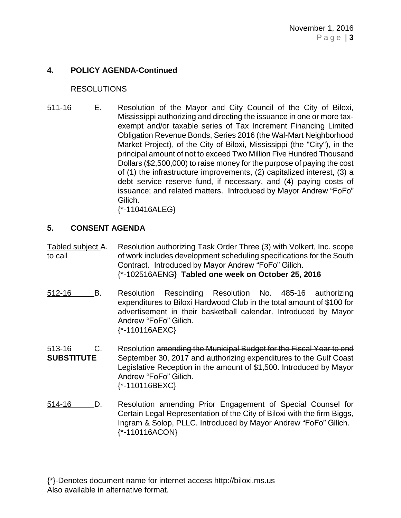#### **4. POLICY AGENDA-Continued**

#### RESOLUTIONS

511-16 E. Resolution of the Mayor and City Council of the City of Biloxi, Mississippi authorizing and directing the issuance in one or more taxexempt and/or taxable series of Tax Increment Financing Limited Obligation Revenue Bonds, Series 2016 (the Wal-Mart Neighborhood Market Project), of the City of Biloxi, Mississippi (the "City"), in the principal amount of not to exceed Two Million Five Hundred Thousand Dollars (\$2,500,000) to raise money for the purpose of paying the cost of (1) the infrastructure improvements, (2) capitalized interest, (3) a debt service reserve fund, if necessary, and (4) paying costs of issuance; and related matters. Introduced by Mayor Andrew "FoFo" Gilich.

{\*-110416ALEG}

## **5. CONSENT AGENDA**

Tabled subject A. Resolution authorizing Task Order Three (3) with Volkert, Inc. scope to call of work includes development scheduling specifications for the South Contract. Introduced by Mayor Andrew "FoFo" Gilich. {\*-102516AENG} **Tabled one week on October 25, 2016**

- 512-16 B. Resolution Rescinding Resolution No. 485-16 authorizing expenditures to Biloxi Hardwood Club in the total amount of \$100 for advertisement in their basketball calendar. Introduced by Mayor Andrew "FoFo" Gilich. {\*-110116AEXC}
- 513-16 C. Resolution amending the Municipal Budget for the Fiscal Year to end **SUBSTITUTE** September 30, 2017 and authorizing expenditures to the Gulf Coast Legislative Reception in the amount of \$1,500. Introduced by Mayor Andrew "FoFo" Gilich. {\*-110116BEXC}
- 514-16 D. Resolution amending Prior Engagement of Special Counsel for Certain Legal Representation of the City of Biloxi with the firm Biggs, Ingram & Solop, PLLC. Introduced by Mayor Andrew "FoFo" Gilich. {\*-110116ACON}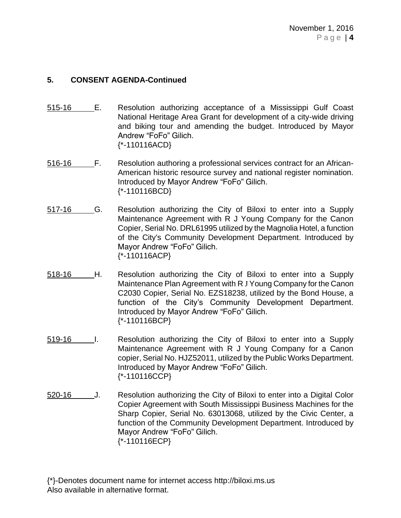## **5. CONSENT AGENDA-Continued**

- 515-16 E. Resolution authorizing acceptance of a Mississippi Gulf Coast National Heritage Area Grant for development of a city-wide driving and biking tour and amending the budget. Introduced by Mayor Andrew "FoFo" Gilich. {\*-110116ACD}
- 516-16 F. Resolution authoring a professional services contract for an African-American historic resource survey and national register nomination. Introduced by Mayor Andrew "FoFo" Gilich. {\*-110116BCD}
- 517-16 G. Resolution authorizing the City of Biloxi to enter into a Supply Maintenance Agreement with R J Young Company for the Canon Copier, Serial No. DRL61995 utilized by the Magnolia Hotel, a function of the City's Community Development Department. Introduced by Mayor Andrew "FoFo" Gilich. {\*-110116ACP}
- 518-16 H. Resolution authorizing the City of Biloxi to enter into a Supply Maintenance Plan Agreement with R J Young Company for the Canon C2030 Copier, Serial No. EZS18238, utilized by the Bond House, a function of the City's Community Development Department. Introduced by Mayor Andrew "FoFo" Gilich. {\*-110116BCP}
- 519-16 I. Resolution authorizing the City of Biloxi to enter into a Supply Maintenance Agreement with R J Young Company for a Canon copier, Serial No. HJZ52011, utilized by the Public Works Department. Introduced by Mayor Andrew "FoFo" Gilich. {\*-110116CCP}
- 520-16 J. Resolution authorizing the City of Biloxi to enter into a Digital Color Copier Agreement with South Mississippi Business Machines for the Sharp Copier, Serial No. 63013068, utilized by the Civic Center, a function of the Community Development Department. Introduced by Mayor Andrew "FoFo" Gilich. {\*-110116ECP}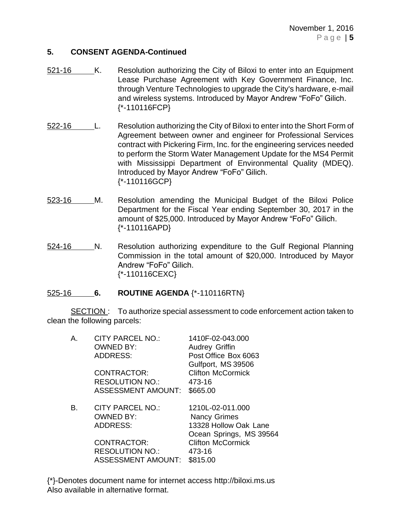November 1, 2016 P a g e | **5**

#### **5. CONSENT AGENDA-Continued**

- 521-16 K. Resolution authorizing the City of Biloxi to enter into an Equipment Lease Purchase Agreement with Key Government Finance, Inc. through Venture Technologies to upgrade the City's hardware, e-mail and wireless systems. Introduced by Mayor Andrew "FoFo" Gilich. {\*-110116FCP}
- 522-16 L. Resolution authorizing the City of Biloxi to enter into the Short Form of Agreement between owner and engineer for Professional Services contract with Pickering Firm, Inc. for the engineering services needed to perform the Storm Water Management Update for the MS4 Permit with Mississippi Department of Environmental Quality (MDEQ). Introduced by Mayor Andrew "FoFo" Gilich. {\*-110116GCP}
- 523-16 M. Resolution amending the Municipal Budget of the Biloxi Police Department for the Fiscal Year ending September 30, 2017 in the amount of \$25,000. Introduced by Mayor Andrew "FoFo" Gilich. {\*-110116APD}
- 524-16 N. Resolution authorizing expenditure to the Gulf Regional Planning Commission in the total amount of \$20,000. Introduced by Mayor Andrew "FoFo" Gilich. {\*-110116CEXC}

#### 525-16 **6. ROUTINE AGENDA** {\*-110116RTN}

SECTION : To authorize special assessment to code enforcement action taken to clean the following parcels:

| А. | <b>CITY PARCEL NO.:</b><br><b>OWNED BY:</b><br><b>ADDRESS:</b><br><b>CONTRACTOR:</b><br><b>RESOLUTION NO.:</b><br><b>ASSESSMENT AMOUNT:</b> | 1410F-02-043.000<br><b>Audrey Griffin</b><br>Post Office Box 6063<br>Gulfport, MS 39506<br><b>Clifton McCormick</b><br>473-16<br>\$665.00     |
|----|---------------------------------------------------------------------------------------------------------------------------------------------|-----------------------------------------------------------------------------------------------------------------------------------------------|
| В. | <b>CITY PARCEL NO.:</b><br><b>OWNED BY:</b><br>ADDRESS:<br><b>CONTRACTOR:</b><br><b>RESOLUTION NO.:</b><br><b>ASSESSMENT AMOUNT:</b>        | 1210L-02-011.000<br><b>Nancy Grimes</b><br>13328 Hollow Oak Lane<br>Ocean Springs, MS 39564<br><b>Clifton McCormick</b><br>473-16<br>\$815.00 |